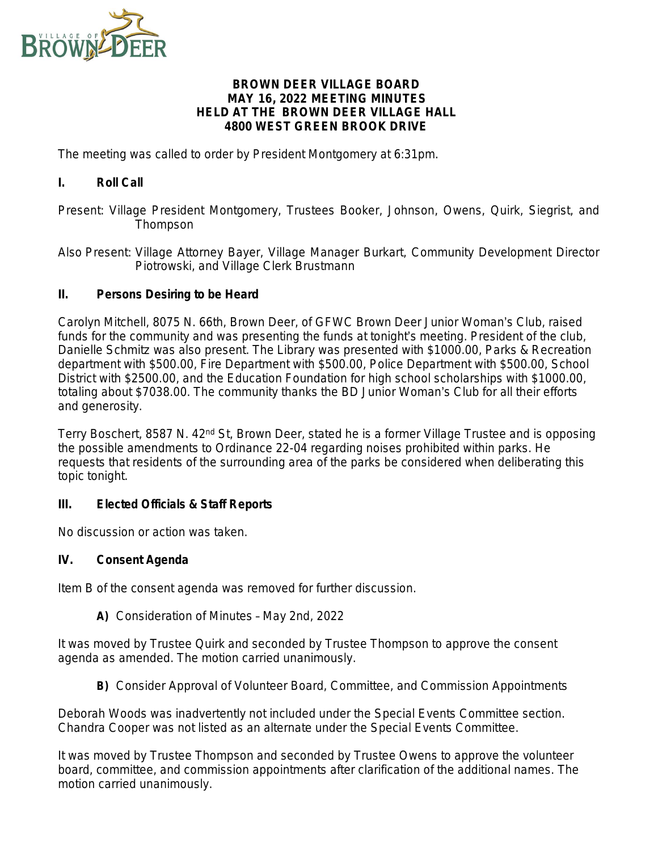

#### **BROWN DEER VILLAGE BOARD MAY 16, 2022 MEETING MINUTES HELD AT THE BROWN DEER VILLAGE HALL 4800 WEST GREEN BROOK DRIVE**

The meeting was called to order by President Montgomery at 6:31pm.

### **I. Roll Call**

- Present: Village President Montgomery, Trustees Booker, Johnson, Owens, Quirk, Siegrist, and Thompson
- Also Present: Village Attorney Bayer, Village Manager Burkart, Community Development Director Piotrowski, and Village Clerk Brustmann

### **II. Persons Desiring to be Heard**

Carolyn Mitchell, 8075 N. 66th, Brown Deer, of GFWC Brown Deer Junior Woman's Club, raised funds for the community and was presenting the funds at tonight's meeting. President of the club, Danielle Schmitz was also present. The Library was presented with \$1000.00, Parks & Recreation department with \$500.00, Fire Department with \$500.00, Police Department with \$500.00, School District with \$2500.00, and the Education Foundation for high school scholarships with \$1000.00, totaling about \$7038.00. The community thanks the BD Junior Woman's Club for all their efforts and generosity.

Terry Boschert, 8587 N. 42<sup>nd</sup> St, Brown Deer, stated he is a former Village Trustee and is opposing the possible amendments to Ordinance 22-04 regarding noises prohibited within parks. He requests that residents of the surrounding area of the parks be considered when deliberating this topic tonight.

#### **III. Elected Officials & Staff Reports**

*No discussion or action was taken.*

#### **IV. Consent Agenda**

Item B of the consent agenda was removed for further discussion.

**A)** Consideration of Minutes – May 2nd, 2022

*It was moved by Trustee Quirk and seconded by Trustee Thompson to approve the consent agenda as amended. The motion carried unanimously.*

**B)** Consider Approval of Volunteer Board, Committee, and Commission Appointments

*Deborah Woods was inadvertently not included under the Special Events Committee section. Chandra Cooper was not listed as an alternate under the Special Events Committee.* 

*It was moved by Trustee Thompson and seconded by Trustee Owens to approve the volunteer board, committee, and commission appointments after clarification of the additional names. The motion carried unanimously.*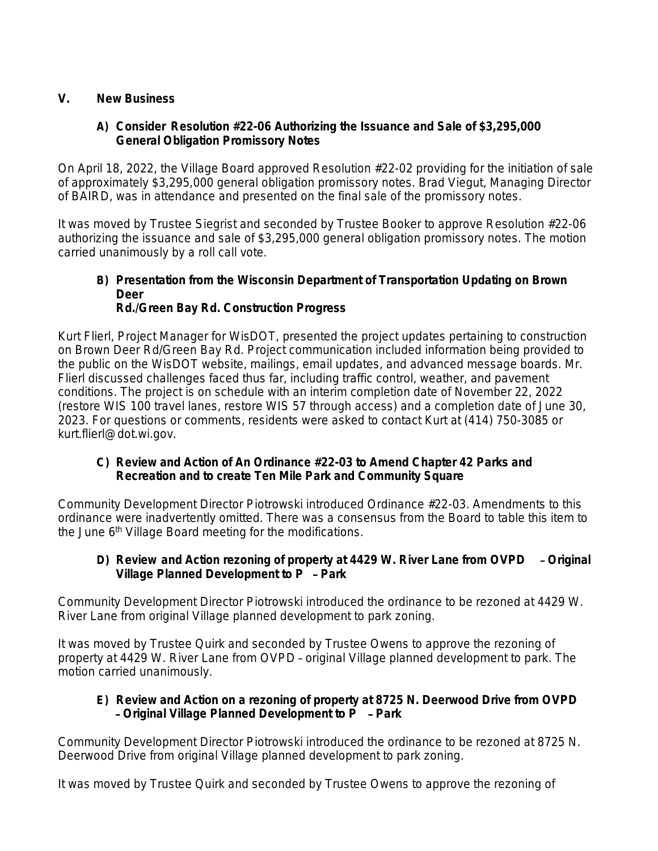# **V. New Business**

## **A) Consider Resolution #22-06 Authorizing the Issuance and Sale of \$3,295,000 General Obligation Promissory Notes**

On April 18, 2022, the Village Board approved Resolution #22-02 providing for the initiation of sale of approximately \$3,295,000 general obligation promissory notes. Brad Viegut, Managing Director of BAIRD, was in attendance and presented on the final sale of the promissory notes.

*It was moved by Trustee Siegrist and seconded by Trustee Booker to approve Resolution #22-06 authorizing the issuance and sale of \$3,295,000 general obligation promissory notes. The motion carried unanimously by a roll call vote.*

#### **B) Presentation from the Wisconsin Department of Transportation Updating on Brown Deer Rd./Green Bay Rd. Construction Progress**

Kurt Flierl, Project Manager for WisDOT, presented the project updates pertaining to construction on Brown Deer Rd/Green Bay Rd. Project communication included information being provided to the public on the WisDOT website, mailings, email updates, and advanced message boards. Mr. Flierl discussed challenges faced thus far, including traffic control, weather, and pavement conditions. The project is on schedule with an interim completion date of November 22, 2022 (restore WIS 100 travel lanes, restore WIS 57 through access) and a completion date of June 30, 2023. For questions or comments, residents were asked to contact Kurt at (414) 750-3085 or kurt.flierl@dot.wi.gov.

### **C) Review and Action of An Ordinance #22-03 to Amend Chapter 42 Parks and Recreation and to create Ten Mile Park and Community Square**

Community Development Director Piotrowski introduced Ordinance #22-03. Amendments to this ordinance were inadvertently omitted. There was a consensus from the Board to table this item to the June 6<sup>th</sup> Village Board meeting for the modifications.

## **D) Review and Action rezoning of property at 4429 W. River Lane from OVPD** – **Original Village Planned Development to P** – **Park**

Community Development Director Piotrowski introduced the ordinance to be rezoned at 4429 W. River Lane from original Village planned development to park zoning.

*It was moved by Trustee Quirk and seconded by Trustee Owens to approve the rezoning of property at 4429 W. River Lane from OVPD* – *original Village planned development to park. The motion carried unanimously.*

## **E) Review and Action on a rezoning of property at 8725 N. Deerwood Drive from OVPD**  – **Original Village Planned Development to P** – **Park**

Community Development Director Piotrowski introduced the ordinance to be rezoned at 8725 N. Deerwood Drive from original Village planned development to park zoning.

*It was moved by Trustee Quirk and seconded by Trustee Owens to approve the rezoning of*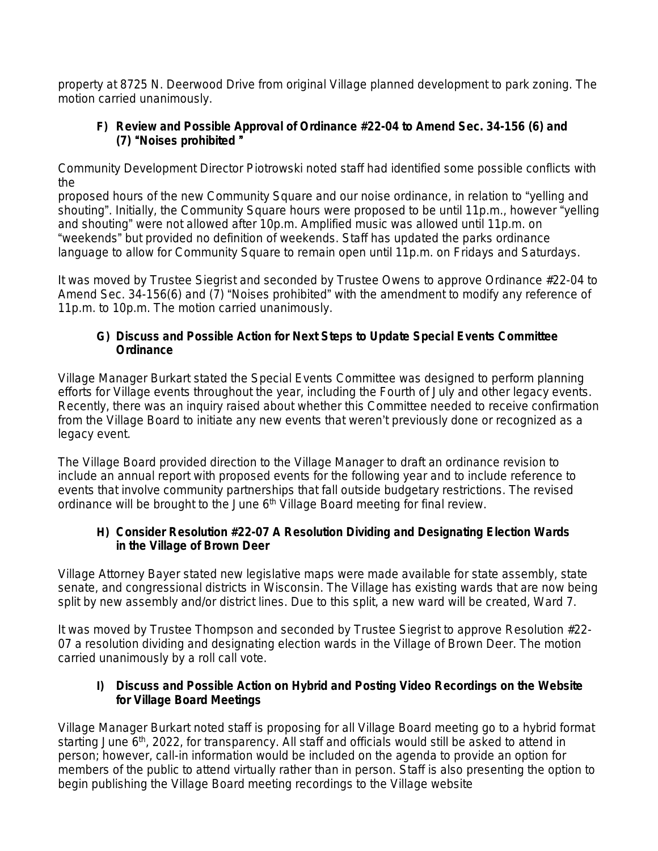*property at 8725 N. Deerwood Drive from original Village planned development to park zoning. The motion carried unanimously.*

# **F) Review and Possible Approval of Ordinance #22-04 to Amend Sec. 34-156 (6) and (7)** "**Noises prohibited** "

Community Development Director Piotrowski noted staff had identified some possible conflicts with the

proposed hours of the new Community Square and our noise ordinance, in relation to "yelling and shouting". Initially, the Community Square hours were proposed to be until 11p.m., however "yelling and shouting" were not allowed after 10p.m. Amplified music was allowed until 11p.m. on "weekends" but provided no definition of weekends. Staff has updated the parks ordinance language to allow for Community Square to remain open until 11p.m. on Fridays and Saturdays.

*It was moved by Trustee Siegrist and seconded by Trustee Owens to approve Ordinance #22-04 to Amend Sec. 34-156(6) and (7)* "*Noises prohibited*" *with the amendment to modify any reference of 11p.m. to 10p.m. The motion carried unanimously.* 

### **G) Discuss and Possible Action for Next Steps to Update Special Events Committee Ordinance**

Village Manager Burkart stated the Special Events Committee was designed to perform planning efforts for Village events throughout the year, including the Fourth of July and other legacy events. Recently, there was an inquiry raised about whether this Committee needed to receive confirmation from the Village Board to initiate any new events that weren't previously done or recognized as a legacy event.

*The Village Board provided direction to the Village Manager to draft an ordinance revision to include an annual report with proposed events for the following year and to include reference to events that involve community partnerships that fall outside budgetary restrictions. The revised ordinance will be brought to the June 6th Village Board meeting for final review.*

# **H) Consider Resolution #22-07 A Resolution Dividing and Designating Election Wards in the Village of Brown Deer**

Village Attorney Bayer stated new legislative maps were made available for state assembly, state senate, and congressional districts in Wisconsin. The Village has existing wards that are now being split by new assembly and/or district lines. Due to this split, a new ward will be created, Ward 7.

*It was moved by Trustee Thompson and seconded by Trustee Siegrist to approve Resolution #22- 07 a resolution dividing and designating election wards in the Village of Brown Deer. The motion carried unanimously by a roll call vote.*

# **I) Discuss and Possible Action on Hybrid and Posting Video Recordings on the Website for Village Board Meetings**

Village Manager Burkart noted staff is proposing for all Village Board meeting go to a hybrid format starting June 6<sup>th</sup>, 2022, for transparency. All staff and officials would still be asked to attend in person; however, call-in information would be included on the agenda to provide an option for members of the public to attend virtually rather than in person. Staff is also presenting the option to begin publishing the Village Board meeting recordings to the Village website